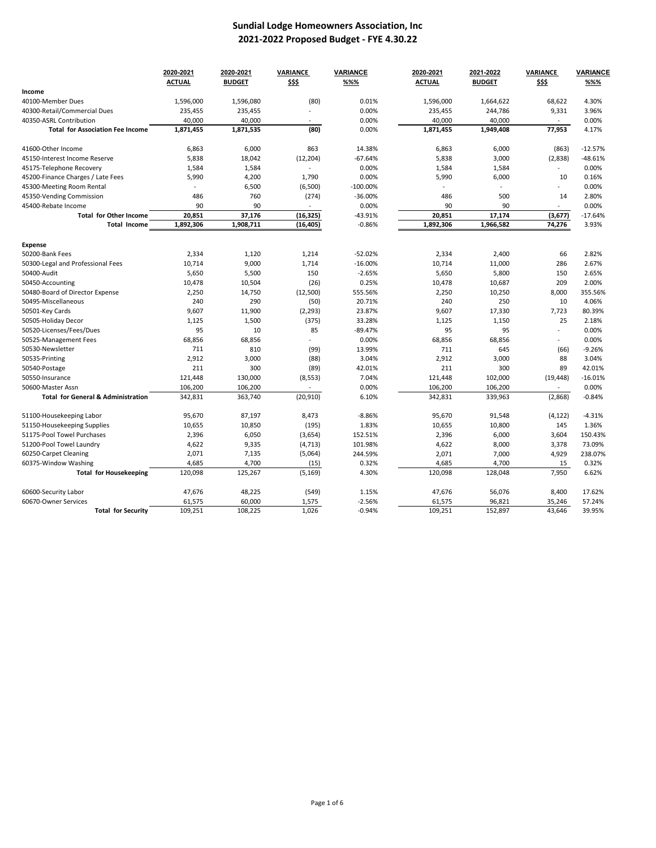## **Sundial Lodge Homeowners Association, Inc 2021-2022 Proposed Budget - FYE 4.30.22**

|                                               | 2020-2021<br><b>ACTUAL</b> | 2020-2021<br><b>BUDGET</b> | VARIANCE<br>\$\$\$ | <b>VARIANCE</b><br>%%% | 2020-2021<br><b>ACTUAL</b> | 2021-2022<br><b>BUDGET</b> | VARIANCE<br>\$\$\$ | <b>VARIANCE</b><br>%%% |
|-----------------------------------------------|----------------------------|----------------------------|--------------------|------------------------|----------------------------|----------------------------|--------------------|------------------------|
| Income                                        |                            |                            |                    |                        |                            |                            |                    |                        |
| 40100-Member Dues                             | 1,596,000                  | 1,596,080                  | (80)               | 0.01%                  | 1,596,000                  | 1,664,622                  | 68,622             | 4.30%                  |
| 40300-Retail/Commercial Dues                  | 235,455                    | 235,455                    |                    | 0.00%                  | 235,455                    | 244,786                    | 9,331              | 3.96%                  |
| 40350-ASRL Contribution                       | 40,000                     | 40,000                     |                    | 0.00%                  | 40,000                     | 40,000                     |                    | 0.00%                  |
| <b>Total for Association Fee Income</b>       | 1,871,455                  | 1,871,535                  | (80)               | 0.00%                  | 1,871,455                  | 1,949,408                  | 77,953             | 4.17%                  |
| 41600-Other Income                            | 6,863                      | 6,000                      | 863                | 14.38%                 | 6,863                      | 6,000                      | (863)              | $-12.57%$              |
| 45150-Interest Income Reserve                 | 5,838                      | 18,042                     | (12, 204)          | $-67.64%$              | 5,838                      | 3,000                      | (2,838)            | $-48.61%$              |
| 45175-Telephone Recovery                      | 1,584                      | 1,584                      | $\overline{a}$     | 0.00%                  | 1,584                      | 1,584                      | $\sim$             | 0.00%                  |
| 45200-Finance Charges / Late Fees             | 5,990                      | 4,200                      | 1,790              | 0.00%                  | 5,990                      | 6,000                      | 10                 | 0.16%                  |
| 45300-Meeting Room Rental                     |                            | 6,500                      | (6,500)            | $-100.00\%$            |                            |                            | $\overline{a}$     | 0.00%                  |
| 45350-Vending Commission                      | 486                        | 760                        | (274)              | $-36.00%$              | 486                        | 500                        | 14                 | 2.80%                  |
| 45400-Rebate Income                           | 90                         | 90                         | $\sim$             | 0.00%                  | 90                         | 90                         | $\blacksquare$     | 0.00%                  |
| <b>Total for Other Income</b>                 | 20,851                     | 37,176                     | (16, 325)          | -43.91%                | 20,851                     | 17,174                     | (3,677)            | $-17.64%$              |
| <b>Total Income</b>                           | 1,892,306                  | 1,908,711                  | (16, 405)          | $-0.86%$               | 1,892,306                  | 1,966,582                  | 74,276             | 3.93%                  |
| Expense                                       |                            |                            |                    |                        |                            |                            |                    |                        |
| 50200-Bank Fees                               | 2,334                      | 1,120                      | 1,214              | $-52.02%$              | 2,334                      | 2,400                      | 66                 | 2.82%                  |
| 50300-Legal and Professional Fees             | 10,714                     | 9,000                      | 1,714              | $-16.00%$              | 10,714                     | 11,000                     | 286                | 2.67%                  |
| 50400-Audit                                   | 5,650                      | 5,500                      | 150                | $-2.65%$               | 5,650                      | 5,800                      | 150                | 2.65%                  |
| 50450-Accounting                              | 10,478                     | 10,504                     | (26)               | 0.25%                  | 10,478                     | 10,687                     | 209                | 2.00%                  |
| 50480-Board of Director Expense               | 2,250                      | 14,750                     | (12, 500)          | 555.56%                | 2,250                      | 10,250                     | 8,000              | 355.56%                |
| 50495-Miscellaneous                           | 240                        | 290                        | (50)               | 20.71%                 | 240                        | 250                        | 10                 | 4.06%                  |
| 50501-Key Cards                               | 9,607                      | 11,900                     | (2, 293)           | 23.87%                 | 9,607                      | 17,330                     | 7,723              | 80.39%                 |
| 50505-Holiday Decor                           | 1,125                      | 1,500                      | (375)              | 33.28%                 | 1,125                      | 1,150                      | 25                 | 2.18%                  |
| 50520-Licenses/Fees/Dues                      | 95                         | 10                         | 85                 | $-89.47%$              | 95                         | 95                         | $\overline{a}$     | 0.00%                  |
| 50525-Management Fees                         | 68,856                     | 68,856                     |                    | 0.00%                  | 68,856                     | 68,856                     | $\overline{a}$     | 0.00%                  |
| 50530-Newsletter                              | 711                        | 810                        | (99)               | 13.99%                 | 711                        | 645                        | (66)               | $-9.26%$               |
| 50535-Printing                                | 2,912                      | 3,000                      | (88)               | 3.04%                  | 2,912                      | 3,000                      | 88                 | 3.04%                  |
| 50540-Postage                                 | 211                        | 300                        | (89)               | 42.01%                 | 211                        | 300                        | 89                 | 42.01%                 |
| 50550-Insurance                               | 121,448                    | 130,000                    | (8, 553)           | 7.04%                  | 121,448                    | 102,000                    | (19, 448)          | $-16.01%$              |
| 50600-Master Assn                             | 106,200                    | 106,200                    |                    | 0.00%                  | 106,200                    | 106,200                    |                    | 0.00%                  |
| <b>Total for General &amp; Administration</b> | 342,831                    | 363,740                    | (20, 910)          | 6.10%                  | 342,831                    | 339,963                    | (2,868)            | $-0.84%$               |
| 51100-Housekeeping Labor                      | 95,670                     | 87,197                     | 8,473              | $-8.86%$               | 95,670                     | 91,548                     | (4, 122)           | $-4.31%$               |
| 51150-Housekeeping Supplies                   | 10,655                     | 10,850                     | (195)              | 1.83%                  | 10,655                     | 10,800                     | 145                | 1.36%                  |
| 51175-Pool Towel Purchases                    | 2,396                      | 6,050                      | (3,654)            | 152.51%                | 2,396                      | 6,000                      | 3,604              | 150.43%                |
| 51200-Pool Towel Laundry                      | 4,622                      | 9,335                      | (4, 713)           | 101.98%                | 4,622                      | 8,000                      | 3,378              | 73.09%                 |
| 60250-Carpet Cleaning                         | 2,071                      | 7,135                      | (5,064)            | 244.59%                | 2,071                      | 7,000                      | 4,929              | 238.07%                |
| 60375-Window Washing                          | 4,685                      | 4,700                      | (15)               | 0.32%                  | 4,685                      | 4,700                      | 15                 | 0.32%                  |
| <b>Total for Housekeeping</b>                 | 120,098                    | 125,267                    | (5, 169)           | 4.30%                  | 120,098                    | 128,048                    | 7,950              | 6.62%                  |
| 60600-Security Labor                          | 47,676                     | 48,225                     | (549)              | 1.15%                  | 47,676                     | 56,076                     | 8,400              | 17.62%                 |
| 60670-Owner Services                          | 61,575                     | 60,000                     | 1,575              | $-2.56%$               | 61,575                     | 96,821                     | 35,246             | 57.24%                 |
| <b>Total for Security</b>                     | 109,251                    | 108,225                    | 1,026              | $-0.94%$               | 109,251                    | 152,897                    | 43,646             | 39.95%                 |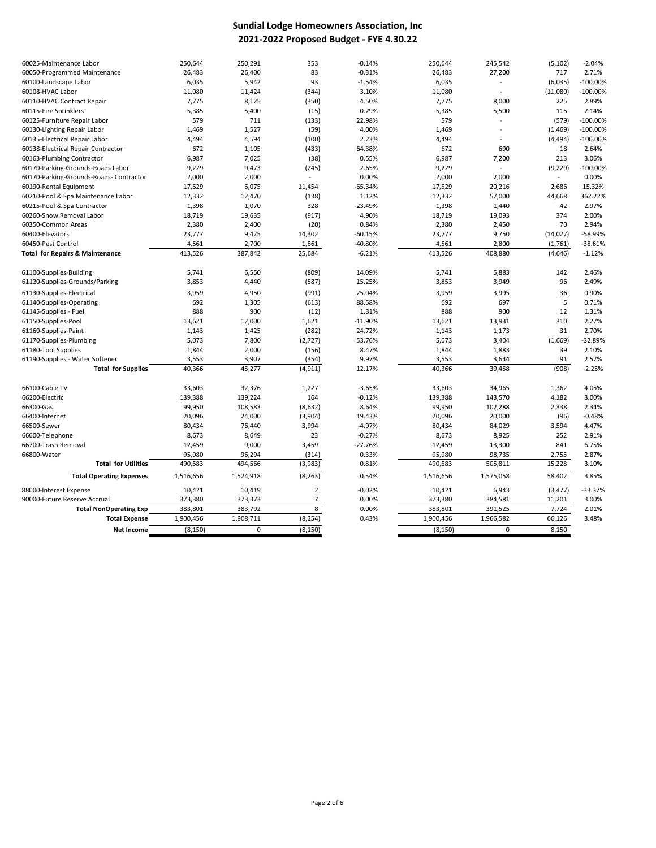## **Sundial Lodge Homeowners Association, Inc 2021-2022 Proposed Budget - FYE 4.30.22**

| 60025-Maintenance Labor                    | 250,644   | 250,291   | 353            | $-0.14%$           | 250,644           | 245,542                  | (5, 102)        | $-2.04%$          |
|--------------------------------------------|-----------|-----------|----------------|--------------------|-------------------|--------------------------|-----------------|-------------------|
| 60050-Programmed Maintenance               | 26,483    | 26,400    | 83             | $-0.31%$           | 26,483            | 27,200                   | 717             | 2.71%             |
| 60100-Landscape Labor                      | 6,035     | 5,942     | 93             | $-1.54%$           | 6,035             | $\overline{\phantom{a}}$ | (6,035)         | $-100.00%$        |
| 60108-HVAC Labor                           | 11,080    | 11,424    | (344)          | 3.10%              | 11,080            | $\overline{\phantom{a}}$ | (11,080)        | $-100.00%$        |
| 60110-HVAC Contract Repair                 | 7,775     | 8,125     | (350)          | 4.50%              | 7,775             | 8,000                    | 225             | 2.89%             |
| 60115-Fire Sprinklers                      | 5,385     | 5,400     | (15)           | 0.29%              | 5,385             | 5,500                    | 115             | 2.14%             |
| 60125-Furniture Repair Labor               | 579       | 711       | (133)          | 22.98%             | 579               |                          | (579)           | $-100.00%$        |
| 60130-Lighting Repair Labor                | 1,469     | 1,527     | (59)           | 4.00%              | 1,469             | ÷,                       | (1, 469)        | $-100.00%$        |
| 60135-Electrical Repair Labor              | 4,494     | 4,594     | (100)          | 2.23%              | 4,494             | ÷,                       | (4, 494)        | $-100.00%$        |
| 60138-Electrical Repair Contractor         | 672       | 1,105     | (433)          | 64.38%             | 672               | 690                      | 18              | 2.64%             |
| 60163-Plumbing Contractor                  | 6,987     | 7,025     | (38)           | 0.55%              | 6,987             | 7,200                    | 213             | 3.06%             |
| 60170-Parking-Grounds-Roads Labor          | 9,229     | 9,473     | (245)          | 2.65%              | 9,229             |                          | (9, 229)        | $-100.00%$        |
| 60170-Parking-Grounds-Roads- Contractor    | 2,000     | 2,000     |                | 0.00%              | 2,000             | 2,000                    | $\blacksquare$  | 0.00%             |
| 60190-Rental Equipment                     | 17,529    | 6,075     | 11,454         | $-65.34%$          | 17,529            | 20,216                   | 2,686           | 15.32%            |
| 60210-Pool & Spa Maintenance Labor         | 12,332    | 12,470    | (138)          | 1.12%              | 12,332            | 57,000                   | 44,668          | 362.22%           |
| 60215-Pool & Spa Contractor                | 1,398     | 1,070     | 328            | $-23.49%$          | 1,398             | 1,440                    | 42              | 2.97%             |
| 60260-Snow Removal Labor                   | 18,719    | 19,635    | (917)          | 4.90%              | 18,719            | 19,093                   | 374             | 2.00%             |
| 60350-Common Areas                         | 2,380     | 2,400     | (20)           | 0.84%              | 2,380             | 2,450                    | 70              | 2.94%             |
| 60400-Elevators                            | 23,777    | 9,475     | 14,302         | $-60.15%$          | 23,777            | 9,750                    | (14, 027)       | -58.99%           |
| 60450-Pest Control                         | 4,561     | 2,700     | 1,861          | -40.80%            | 4,561             | 2,800                    | (1,761)         | $-38.61%$         |
| <b>Total for Repairs &amp; Maintenance</b> | 413,526   | 387,842   | 25,684         | $-6.21%$           | 413,526           | 408,880                  | (4,646)         | $-1.12%$          |
|                                            |           |           |                |                    |                   |                          |                 |                   |
| 61100-Supplies-Building                    | 5,741     | 6,550     | (809)          | 14.09%             | 5,741             | 5,883                    | 142             | 2.46%             |
| 61120-Supplies-Grounds/Parking             | 3,853     | 4,440     | (587)          | 15.25%             | 3,853             | 3,949                    | 96              | 2.49%             |
| 61130-Supplies-Electrical                  | 3,959     | 4,950     | (991)          | 25.04%             | 3,959             | 3,995                    | 36              | 0.90%             |
| 61140-Supplies-Operating                   | 692       | 1,305     | (613)          | 88.58%             | 692               | 697                      | 5               | 0.71%             |
| 61145-Supplies - Fuel                      | 888       | 900       | (12)           | 1.31%              | 888               | 900                      | 12              | 1.31%             |
| 61150-Supplies-Pool                        | 13,621    | 12,000    | 1,621          | $-11.90%$          | 13,621            | 13,931                   | 310             | 2.27%             |
| 61160-Supplies-Paint                       | 1,143     | 1,425     | (282)          | 24.72%             | 1,143             | 1,173                    | 31              | 2.70%             |
| 61170-Supplies-Plumbing                    | 5,073     | 7,800     | (2, 727)       | 53.76%             | 5,073             | 3,404                    | (1,669)         | -32.89%           |
| 61180-Tool Supplies                        | 1,844     | 2,000     | (156)          | 8.47%              | 1,844             | 1,883                    | 39              | 2.10%             |
| 61190-Supplies - Water Softener            | 3,553     | 3,907     | (354)          | 9.97%              | 3,553             | 3,644                    | 91              | 2.57%             |
| <b>Total for Supplies</b>                  | 40,366    | 45,277    | (4, 911)       | 12.17%             | 40,366            | 39,458                   | (908)           | $-2.25%$          |
| 66100-Cable TV                             | 33,603    | 32,376    | 1,227          | $-3.65%$           | 33,603            | 34,965                   |                 | 4.05%             |
| 66200-Electric                             | 139,388   | 139,224   | 164            | $-0.12%$           | 139,388           | 143,570                  | 1,362<br>4,182  | 3.00%             |
|                                            |           |           |                | 8.64%              |                   |                          |                 |                   |
| 66300-Gas                                  | 99,950    | 108,583   | (8,632)        |                    | 99,950            | 102,288                  | 2,338           | 2.34%             |
| 66400-Internet                             | 20,096    | 24,000    | (3,904)        | 19.43%<br>$-4.97%$ | 20,096            | 20,000                   | (96)            | $-0.48%$<br>4.47% |
| 66500-Sewer                                | 80,434    | 76,440    | 3,994<br>23    |                    | 80,434            | 84,029                   | 3,594           | 2.91%             |
| 66600-Telephone                            | 8,673     | 8,649     |                | $-0.27%$           | 8,673             | 8,925                    | 252             |                   |
| 66700-Trash Removal                        | 12,459    | 9,000     | 3,459          | $-27.76%$          | 12,459            | 13,300                   | 841             | 6.75%<br>2.87%    |
| 66800-Water<br><b>Total for Utilities</b>  | 95,980    | 96,294    | (314)          | 0.33%              | 95,980<br>490,583 | 98,735<br>505,811        | 2,755<br>15,228 | 3.10%             |
|                                            | 490,583   | 494,566   | (3,983)        | 0.81%              |                   |                          |                 |                   |
| <b>Total Operating Expenses</b>            | 1,516,656 | 1,524,918 | (8, 263)       | 0.54%              | 1,516,656         | 1,575,058                | 58,402          | 3.85%             |
| 88000-Interest Expense                     | 10,421    | 10,419    | $\overline{2}$ | $-0.02%$           | 10,421            | 6,943                    | (3, 477)        | $-33.37%$         |
| 90000-Future Reserve Accrual               | 373,380   | 373,373   | 7              | 0.00%              | 373,380           | 384,581                  | 11,201          | 3.00%             |
| <b>Total NonOperating Exp</b>              | 383,801   | 383,792   | 8              | 0.00%              | 383,801           | 391,525                  | 7,724           | 2.01%             |
| <b>Total Expense</b>                       | 1,900,456 | 1,908,711 | (8, 254)       | 0.43%              | 1,900,456         | 1,966,582                | 66,126          | 3.48%             |
| <b>Net Income</b>                          | (8, 150)  | 0         | (8, 150)       |                    | (8, 150)          | $\Omega$                 | 8,150           |                   |
|                                            |           |           |                |                    |                   |                          |                 |                   |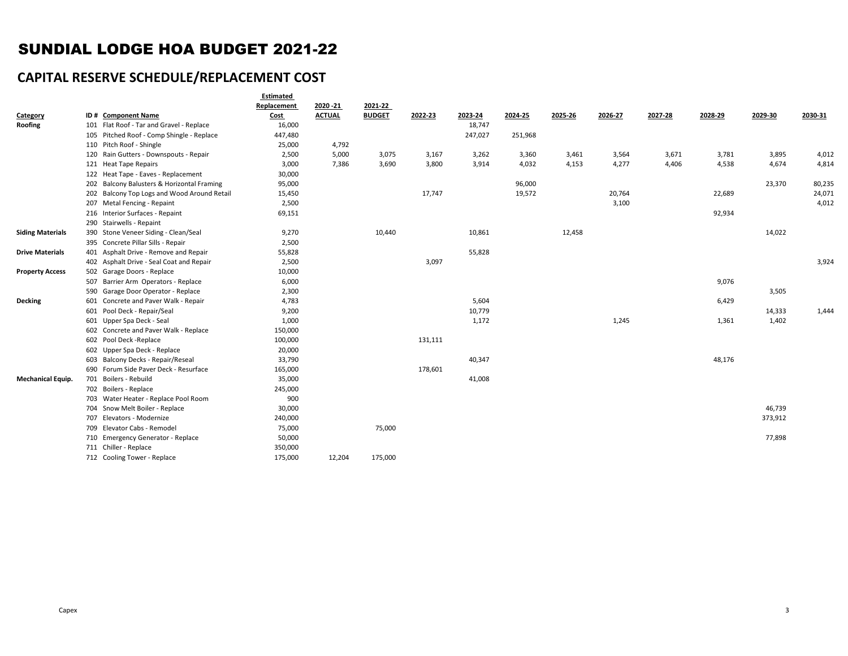# SUNDIAL LODGE HOA BUDGET 2021-22

# **CAPITAL RESERVE SCHEDULE/REPLACEMENT COST**

|                          |                                             | Estimated<br>Replacement | 2020 - 21     | 2021-22       |         |         |         |         |         |         |         |         |         |
|--------------------------|---------------------------------------------|--------------------------|---------------|---------------|---------|---------|---------|---------|---------|---------|---------|---------|---------|
| Category                 | ID# Component Name                          | Cost                     | <b>ACTUAL</b> | <b>BUDGET</b> | 2022-23 | 2023-24 | 2024-25 | 2025-26 | 2026-27 | 2027-28 | 2028-29 | 2029-30 | 2030-31 |
| Roofing                  | 101 Flat Roof - Tar and Gravel - Replace    | 16,000                   |               |               |         | 18,747  |         |         |         |         |         |         |         |
|                          | 105 Pitched Roof - Comp Shingle - Replace   | 447,480                  |               |               |         | 247,027 | 251,968 |         |         |         |         |         |         |
|                          | 110 Pitch Roof - Shingle                    | 25,000                   | 4,792         |               |         |         |         |         |         |         |         |         |         |
|                          | 120 Rain Gutters - Downspouts - Repair      | 2,500                    | 5,000         | 3,075         | 3,167   | 3,262   | 3,360   | 3,461   | 3,564   | 3,671   | 3,781   | 3,895   | 4,012   |
|                          | 121 Heat Tape Repairs                       | 3,000                    | 7,386         | 3,690         | 3,800   | 3,914   | 4,032   | 4,153   | 4,277   | 4,406   | 4,538   | 4,674   | 4,814   |
|                          | 122 Heat Tape - Eaves - Replacement         | 30,000                   |               |               |         |         |         |         |         |         |         |         |         |
|                          | 202 Balcony Balusters & Horizontal Framing  | 95,000                   |               |               |         |         | 96,000  |         |         |         |         | 23,370  | 80,235  |
|                          | 202 Balcony Top Logs and Wood Around Retail | 15,450                   |               |               | 17,747  |         | 19,572  |         | 20,764  |         | 22,689  |         | 24,071  |
|                          | 207 Metal Fencing - Repaint                 | 2,500                    |               |               |         |         |         |         | 3,100   |         |         |         | 4,012   |
|                          | 216 Interior Surfaces - Repaint             | 69,151                   |               |               |         |         |         |         |         |         | 92,934  |         |         |
|                          | 290 Stairwells - Repaint                    |                          |               |               |         |         |         |         |         |         |         |         |         |
| <b>Siding Materials</b>  | 390 Stone Veneer Siding - Clean/Seal        | 9,270                    |               | 10,440        |         | 10,861  |         | 12,458  |         |         |         | 14,022  |         |
|                          | 395 Concrete Pillar Sills - Repair          | 2,500                    |               |               |         |         |         |         |         |         |         |         |         |
| <b>Drive Materials</b>   | 401 Asphalt Drive - Remove and Repair       | 55,828                   |               |               |         | 55,828  |         |         |         |         |         |         |         |
|                          | 402 Asphalt Drive - Seal Coat and Repair    | 2,500                    |               |               | 3,097   |         |         |         |         |         |         |         | 3,924   |
| <b>Property Access</b>   | 502 Garage Doors - Replace                  | 10,000                   |               |               |         |         |         |         |         |         |         |         |         |
|                          | 507 Barrier Arm Operators - Replace         | 6,000                    |               |               |         |         |         |         |         |         | 9,076   |         |         |
|                          | 590 Garage Door Operator - Replace          | 2,300                    |               |               |         |         |         |         |         |         |         | 3,505   |         |
| Decking                  | 601 Concrete and Paver Walk - Repair        | 4,783                    |               |               |         | 5,604   |         |         |         |         | 6,429   |         |         |
|                          | 601 Pool Deck - Repair/Seal                 | 9,200                    |               |               |         | 10,779  |         |         |         |         |         | 14,333  | 1,444   |
|                          | 601 Upper Spa Deck - Seal                   | 1,000                    |               |               |         | 1,172   |         |         | 1,245   |         | 1,361   | 1,402   |         |
|                          | 602 Concrete and Paver Walk - Replace       | 150,000                  |               |               |         |         |         |         |         |         |         |         |         |
|                          | 602 Pool Deck - Replace                     | 100,000                  |               |               | 131,111 |         |         |         |         |         |         |         |         |
|                          | 602 Upper Spa Deck - Replace                | 20,000                   |               |               |         |         |         |         |         |         |         |         |         |
|                          | 603 Balcony Decks - Repair/Reseal           | 33,790                   |               |               |         | 40,347  |         |         |         |         | 48,176  |         |         |
|                          | 690 Forum Side Paver Deck - Resurface       | 165,000                  |               |               | 178,601 |         |         |         |         |         |         |         |         |
| <b>Mechanical Equip.</b> | 701 Boilers - Rebuild                       | 35,000                   |               |               |         | 41,008  |         |         |         |         |         |         |         |
|                          | 702 Boilers - Replace                       | 245,000                  |               |               |         |         |         |         |         |         |         |         |         |
|                          | 703 Water Heater - Replace Pool Room        | 900                      |               |               |         |         |         |         |         |         |         |         |         |
|                          | 704 Snow Melt Boiler - Replace              | 30,000                   |               |               |         |         |         |         |         |         |         | 46,739  |         |
|                          | 707 Elevators - Modernize                   | 240,000                  |               |               |         |         |         |         |         |         |         | 373,912 |         |
|                          | 709 Elevator Cabs - Remodel                 | 75,000                   |               | 75,000        |         |         |         |         |         |         |         |         |         |
|                          | 710 Emergency Generator - Replace           | 50,000                   |               |               |         |         |         |         |         |         |         | 77,898  |         |
|                          | 711 Chiller - Replace                       | 350,000                  |               |               |         |         |         |         |         |         |         |         |         |
|                          | 712 Cooling Tower - Replace                 | 175,000                  | 12,204        | 175,000       |         |         |         |         |         |         |         |         |         |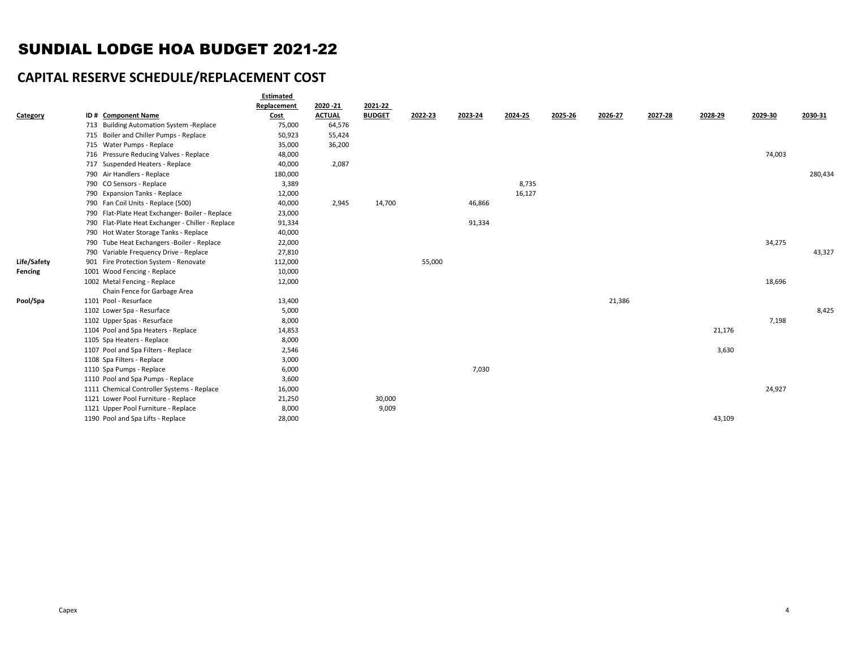# SUNDIAL LODGE HOA BUDGET 2021-22

# **CAPITAL RESERVE SCHEDULE/REPLACEMENT COST**

|             |                                                   | Estimated   |               |               |         |         |         |         |         |         |         |         |         |
|-------------|---------------------------------------------------|-------------|---------------|---------------|---------|---------|---------|---------|---------|---------|---------|---------|---------|
|             |                                                   | Replacement | 2020 - 21     | 2021-22       |         |         |         |         |         |         |         |         |         |
| Category    | ID# Component Name                                | <b>Cost</b> | <b>ACTUAL</b> | <b>BUDGET</b> | 2022-23 | 2023-24 | 2024-25 | 2025-26 | 2026-27 | 2027-28 | 2028-29 | 2029-30 | 2030-31 |
|             | 713 Building Automation System - Replace          | 75,000      | 64,576        |               |         |         |         |         |         |         |         |         |         |
|             | 715 Boiler and Chiller Pumps - Replace            | 50,923      | 55,424        |               |         |         |         |         |         |         |         |         |         |
|             | 715 Water Pumps - Replace                         | 35,000      | 36,200        |               |         |         |         |         |         |         |         |         |         |
|             | 716 Pressure Reducing Valves - Replace            | 48,000      |               |               |         |         |         |         |         |         |         | 74,003  |         |
|             | 717 Suspended Heaters - Replace                   | 40,000      | 2,087         |               |         |         |         |         |         |         |         |         |         |
|             | 790 Air Handlers - Replace                        | 180,000     |               |               |         |         |         |         |         |         |         |         | 280,434 |
|             | 790 CO Sensors - Replace                          | 3,389       |               |               |         |         | 8,735   |         |         |         |         |         |         |
|             | 790 Expansion Tanks - Replace                     | 12,000      |               |               |         |         | 16,127  |         |         |         |         |         |         |
|             | 790 Fan Coil Units - Replace (500)                | 40,000      | 2,945         | 14,700        |         | 46,866  |         |         |         |         |         |         |         |
|             | 790 Flat-Plate Heat Exchanger- Boiler - Replace   | 23,000      |               |               |         |         |         |         |         |         |         |         |         |
|             | 790 Flat-Plate Heat Exchanger - Chiller - Replace | 91,334      |               |               |         | 91,334  |         |         |         |         |         |         |         |
|             | 790 Hot Water Storage Tanks - Replace             | 40,000      |               |               |         |         |         |         |         |         |         |         |         |
|             | 790 Tube Heat Exchangers -Boiler - Replace        | 22,000      |               |               |         |         |         |         |         |         |         | 34,275  |         |
|             | 790 Variable Frequency Drive - Replace            | 27,810      |               |               |         |         |         |         |         |         |         |         | 43,327  |
| Life/Safety | 901 Fire Protection System - Renovate             | 112,000     |               |               | 55,000  |         |         |         |         |         |         |         |         |
| Fencing     | 1001 Wood Fencing - Replace                       | 10,000      |               |               |         |         |         |         |         |         |         |         |         |
|             | 1002 Metal Fencing - Replace                      | 12,000      |               |               |         |         |         |         |         |         |         | 18,696  |         |
|             | Chain Fence for Garbage Area                      |             |               |               |         |         |         |         |         |         |         |         |         |
| Pool/Spa    | 1101 Pool - Resurface                             | 13,400      |               |               |         |         |         |         | 21,386  |         |         |         |         |
|             | 1102 Lower Spa - Resurface                        | 5,000       |               |               |         |         |         |         |         |         |         |         | 8,425   |
|             | 1102 Upper Spas - Resurface                       | 8,000       |               |               |         |         |         |         |         |         |         | 7,198   |         |
|             | 1104 Pool and Spa Heaters - Replace               | 14,853      |               |               |         |         |         |         |         |         | 21,176  |         |         |
|             | 1105 Spa Heaters - Replace                        | 8,000       |               |               |         |         |         |         |         |         |         |         |         |
|             | 1107 Pool and Spa Filters - Replace               | 2,546       |               |               |         |         |         |         |         |         | 3,630   |         |         |
|             | 1108 Spa Filters - Replace                        | 3,000       |               |               |         |         |         |         |         |         |         |         |         |
|             | 1110 Spa Pumps - Replace                          | 6,000       |               |               |         | 7,030   |         |         |         |         |         |         |         |
|             | 1110 Pool and Spa Pumps - Replace                 | 3,600       |               |               |         |         |         |         |         |         |         |         |         |
|             | 1111 Chemical Controller Systems - Replace        | 16,000      |               |               |         |         |         |         |         |         |         | 24,927  |         |
|             | 1121 Lower Pool Furniture - Replace               | 21,250      |               | 30,000        |         |         |         |         |         |         |         |         |         |
|             | 1121 Upper Pool Furniture - Replace               | 8,000       |               | 9,009         |         |         |         |         |         |         |         |         |         |
|             | 1190 Pool and Spa Lifts - Replace                 | 28,000      |               |               |         |         |         |         |         |         | 43,109  |         |         |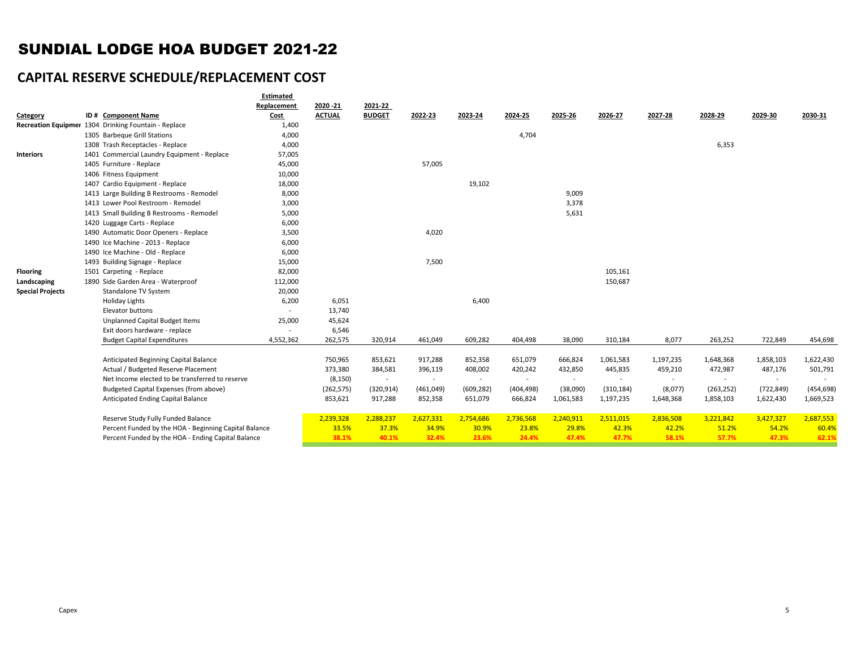# SUNDIAL LODGE HOA BUDGET 2021-22

# **CAPITAL RESERVE SCHEDULE/REPLACEMENT COST**

|                         |                                                       | Estimated                |               |               |           |            |                          |           |            |           |            |            |            |
|-------------------------|-------------------------------------------------------|--------------------------|---------------|---------------|-----------|------------|--------------------------|-----------|------------|-----------|------------|------------|------------|
|                         |                                                       | Replacement              | 2020 - 21     | 2021-22       |           |            |                          |           |            |           |            |            |            |
| Category                | ID# Component Name                                    | <b>Cost</b>              | <b>ACTUAL</b> | <b>BUDGET</b> | 2022-23   | 2023-24    | 2024-25                  | 2025-26   | 2026-27    | 2027-28   | 2028-29    | 2029-30    | 2030-31    |
|                         | Recreation Equipmer 1304 Drinking Fountain - Replace  | 1,400                    |               |               |           |            |                          |           |            |           |            |            |            |
|                         | 1305 Barbeque Grill Stations                          | 4,000                    |               |               |           |            | 4,704                    |           |            |           |            |            |            |
|                         | 1308 Trash Receptacles - Replace                      | 4,000                    |               |               |           |            |                          |           |            |           | 6,353      |            |            |
| <b>Interiors</b>        | 1401 Commercial Laundry Equipment - Replace           | 57,005                   |               |               |           |            |                          |           |            |           |            |            |            |
|                         | 1405 Furniture - Replace                              | 45,000                   |               |               | 57,005    |            |                          |           |            |           |            |            |            |
|                         | 1406 Fitness Equipment                                | 10,000                   |               |               |           |            |                          |           |            |           |            |            |            |
|                         | 1407 Cardio Equipment - Replace                       | 18,000                   |               |               |           | 19,102     |                          |           |            |           |            |            |            |
|                         | 1413 Large Building B Restrooms - Remodel             | 8,000                    |               |               |           |            |                          | 9,009     |            |           |            |            |            |
|                         | 1413 Lower Pool Restroom - Remodel                    | 3,000                    |               |               |           |            |                          | 3,378     |            |           |            |            |            |
|                         | 1413 Small Building B Restrooms - Remodel             | 5,000                    |               |               |           |            |                          | 5,631     |            |           |            |            |            |
|                         | 1420 Luggage Carts - Replace                          | 6,000                    |               |               |           |            |                          |           |            |           |            |            |            |
|                         | 1490 Automatic Door Openers - Replace                 | 3,500                    |               |               | 4,020     |            |                          |           |            |           |            |            |            |
|                         | 1490 Ice Machine - 2013 - Replace                     | 6,000                    |               |               |           |            |                          |           |            |           |            |            |            |
|                         | 1490 Ice Machine - Old - Replace                      | 6,000                    |               |               |           |            |                          |           |            |           |            |            |            |
|                         | 1493 Building Signage - Replace                       | 15,000                   |               |               | 7,500     |            |                          |           |            |           |            |            |            |
| <b>Flooring</b>         | 1501 Carpeting - Replace                              | 82,000                   |               |               |           |            |                          |           | 105,161    |           |            |            |            |
| Landscaping             | 1890 Side Garden Area - Waterproof                    | 112,000                  |               |               |           |            |                          |           | 150,687    |           |            |            |            |
| <b>Special Projects</b> | Standalone TV System                                  | 20,000                   |               |               |           |            |                          |           |            |           |            |            |            |
|                         | <b>Holiday Lights</b>                                 | 6,200                    | 6,051         |               |           | 6,400      |                          |           |            |           |            |            |            |
|                         | Elevator buttons                                      | $\sim$                   | 13,740        |               |           |            |                          |           |            |           |            |            |            |
|                         | Unplanned Capital Budget Items                        | 25,000                   | 45,624        |               |           |            |                          |           |            |           |            |            |            |
|                         | Exit doors hardware - replace                         | $\overline{\phantom{a}}$ | 6,546         |               |           |            |                          |           |            |           |            |            |            |
|                         | <b>Budget Capital Expenditures</b>                    | 4,552,362                | 262,575       | 320,914       | 461,049   | 609,282    | 404,498                  | 38,090    | 310,184    | 8,077     | 263,252    | 722,849    | 454,698    |
|                         |                                                       |                          |               |               |           |            |                          |           |            |           |            |            |            |
|                         | Anticipated Beginning Capital Balance                 |                          | 750,965       | 853,621       | 917,288   | 852,358    | 651,079                  | 666,824   | 1,061,583  | 1,197,235 | 1,648,368  | 1,858,103  | 1,622,430  |
|                         | Actual / Budgeted Reserve Placement                   |                          | 373,380       | 384,581       | 396,119   | 408,002    | 420,242                  | 432,850   | 445,835    | 459,210   | 472,987    | 487,176    | 501,791    |
|                         | Net Income elected to be transferred to reserve       |                          | (8, 150)      | $\sim$        | $\sim$    | $\sim$     | $\overline{\phantom{a}}$ | $\sim$    | $\sim$     | $\sim$    | $\sim$     | $\sim$     |            |
|                         | Budgeted Capital Expenses (from above)                |                          | (262, 575)    | (320, 914)    | (461,049) | (609, 282) | (404, 498)               | (38,090)  | (310, 184) | (8,077)   | (263, 252) | (722, 849) | (454, 698) |
|                         | Anticipated Ending Capital Balance                    |                          | 853,621       | 917,288       | 852,358   | 651,079    | 666,824                  | 1,061,583 | 1,197,235  | 1,648,368 | 1,858,103  | 1,622,430  | 1,669,523  |
|                         | Reserve Study Fully Funded Balance                    |                          | 2,239,328     | 2,288,237     | 2,627,331 | 2,754,686  | 2,736,568                | 2,240,911 | 2,511,015  | 2,836,508 | 3,221,842  | 3,427,327  | 2,687,553  |
|                         | Percent Funded by the HOA - Beginning Capital Balance |                          | 33.5%         | 37.3%         | 34.9%     | 30.9%      | 23.8%                    | 29.8%     | 42.3%      | 42.2%     | 51.2%      | 54.2%      | 60.4%      |
|                         | Percent Funded by the HOA - Ending Capital Balance    |                          | 38.1%         | 40.1%         | 32.4%     | 23.6%      | 24.4%                    | 47.4%     | 47.7%      | 58.1%     | 57.7%      | 47.3%      | 62.1%      |
|                         |                                                       |                          |               |               |           |            |                          |           |            |           |            |            |            |